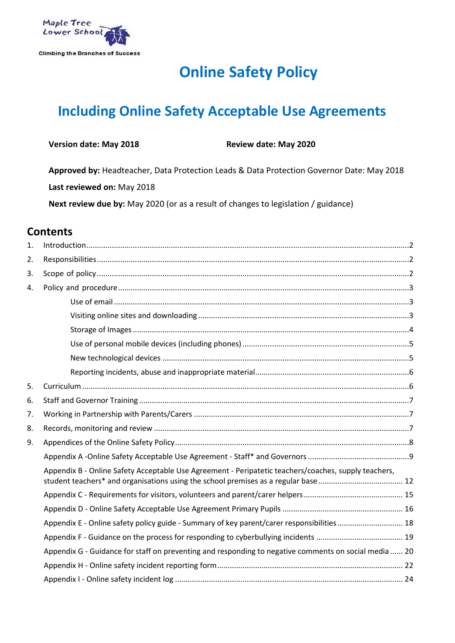

# **Online Safety Policy**

# **Including Online Safety Acceptable Use Agreements**

| <b>Version date: May 2018</b> | Revie |
|-------------------------------|-------|
|                               |       |

**Version date: May 2018 Review date: May 2020**

**Approved by:** Headteacher, Data Protection Leads & Data Protection Governor Date: May 2018 **Last reviewed on:** May 2018

**Next review due by:** May 2020 (or as a result of changes to legislation / guidance)

## **Contents**

| 1. |                                                                                                       |
|----|-------------------------------------------------------------------------------------------------------|
| 2. |                                                                                                       |
| 3. |                                                                                                       |
| 4. |                                                                                                       |
|    |                                                                                                       |
|    |                                                                                                       |
|    |                                                                                                       |
|    |                                                                                                       |
|    |                                                                                                       |
|    |                                                                                                       |
| 5. |                                                                                                       |
| 6. |                                                                                                       |
| 7. |                                                                                                       |
| 8. |                                                                                                       |
| 9. |                                                                                                       |
|    |                                                                                                       |
|    | Appendix B - Online Safety Acceptable Use Agreement - Peripatetic teachers/coaches, supply teachers,  |
|    |                                                                                                       |
|    |                                                                                                       |
|    | Appendix E - Online safety policy guide - Summary of key parent/carer responsibilities 18             |
|    |                                                                                                       |
|    | Appendix G - Guidance for staff on preventing and responding to negative comments on social media  20 |
|    |                                                                                                       |
|    |                                                                                                       |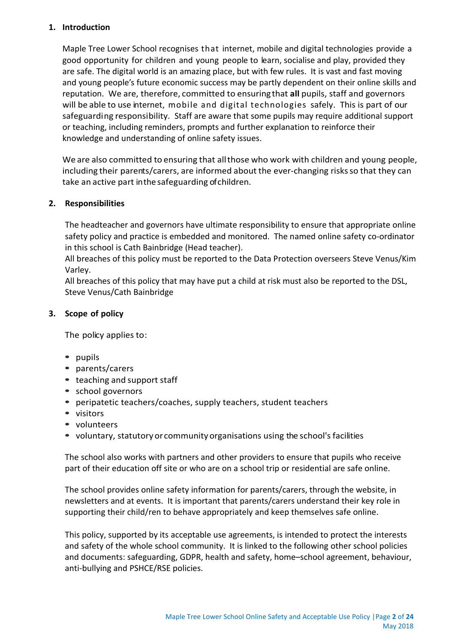## <span id="page-1-0"></span>**1. Introduction**

Maple Tree Lower School recognises that internet, mobile and digital technologies provide a good opportunity for children and young people to learn, socialise and play, provided they are safe. The digital world is an amazing place, but with few rules. It is vast and fast moving and young people's future economic success may be partly dependent on their online skills and reputation. We are, therefore, committed to ensuringthat **all** pupils, staff and governors will be able to use internet, mobile and digital technologies safely. This is part of our safeguarding responsibility. Staff are aware that some pupils may require additional support or teaching, including reminders, prompts and further explanation to reinforce their knowledge and understanding of online safety issues.

We are also committed to ensuring that allthose who work with children and young people, including their parents/carers, are informed about the ever-changing risks so that they can take an active part inthe safeguarding of children.

## <span id="page-1-1"></span>**2. Responsibilities**

The headteacher and governors have ultimate responsibility to ensure that appropriate online safety policy and practice is embedded and monitored. The named online safety co-ordinator in this school is Cath Bainbridge (Head teacher).

All breaches of this policy must be reported to the Data Protection overseers Steve Venus/Kim Varley.

All breaches of this policy that may have put a child at risk must also be reported to the DSL, Steve Venus/Cath Bainbridge

## <span id="page-1-2"></span>**3. Scope of policy**

The policy applies to:

- **•** pupils
- **•** parents/carers
- **•** teaching and support staff
- **•** school governors
- **•** peripatetic teachers/coaches, supply teachers, student teachers
- **•** visitors
- **•** volunteers
- voluntary, statutory or community organisations using the school's facilities

The school also works with partners and other providers to ensure that pupils who receive part of their education off site or who are on a school trip or residential are safe online.

The school provides online safety information for parents/carers, through the website, in newsletters and at events. It is important that parents/carers understand their key role in supporting their child/ren to behave appropriately and keep themselves safe online.

This policy, supported by its acceptable use agreements, is intended to protect the interests and safety of the whole school community. It is linked to the following other school policies and documents: safeguarding, GDPR, health and safety, home–school agreement, behaviour, anti-bullying and PSHCE/RSE policies.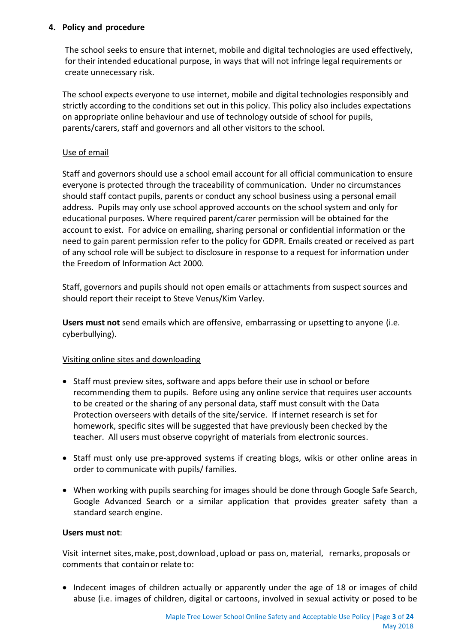## <span id="page-2-0"></span>**4. Policy and procedure**

The school seeks to ensure that internet, mobile and digital technologies are used effectively, for their intended educational purpose, in ways that will not infringe legal requirements or create unnecessary risk.

The school expects everyone to use internet, mobile and digital technologies responsibly and strictly according to the conditions set out in this policy. This policy also includes expectations on appropriate online behaviour and use of technology outside of school for pupils, parents/carers, staff and governors and all other visitors to the school.

## <span id="page-2-1"></span>Use of email

Staff and governors should use a school email account for all official communication to ensure everyone is protected through the traceability of communication. Under no circumstances should staff contact pupils, parents or conduct any school business using a personal email address. Pupils may only use school approved accounts on the school system and only for educational purposes. Where required parent/carer permission will be obtained for the account to exist. For advice on emailing, sharing personal or confidential information or the need to gain parent permission refer to the policy for GDPR. Emails created or received as part of any school role will be subject to disclosure in response to a request for information under the Freedom of Information Act 2000.

Staff, governors and pupils should not open emails or attachments from suspect sources and should report their receipt to Steve Venus/Kim Varley.

**Users must not** send emails which are offensive, embarrassing or upsetting to anyone (i.e. cyberbullying).

## <span id="page-2-2"></span>Visiting online sites and downloading

- Staff must preview sites, software and apps before their use in school or before recommending them to pupils. Before using any online service that requires user accounts to be created or the sharing of any personal data, staff must consult with the Data Protection overseers with details of the site/service. If internet research is set for homework, specific sites will be suggested that have previously been checked by the teacher. All users must observe copyright of materials from electronic sources.
- Staff must only use pre-approved systems if creating blogs, wikis or other online areas in order to communicate with pupils/ families.
- When working with pupils searching for images should be done through Google Safe Search, Google Advanced Search or a similar application that provides greater safety than a standard search engine.

## **Users must not**:

Visit internet sites,make,post,download,upload or pass on, material, remarks, proposals or comments that containor relate to:

• Indecent images of children actually or apparently under the age of 18 or images of child abuse (i.e. images of children, digital or cartoons, involved in sexual activity or posed to be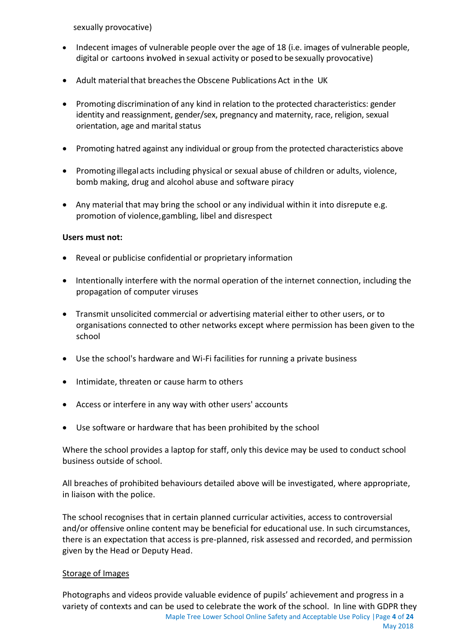sexually provocative)

- Indecent images of vulnerable people over the age of 18 (i.e. images of vulnerable people, digital or cartoons involved in sexual activity or posedto be sexually provocative)
- Adult materialthat breachesthe Obscene Publications Act in the UK
- Promoting discrimination of any kind in relation to the protected characteristics: gender identity and reassignment, gender/sex, pregnancy and maternity, race, religion, sexual orientation, age and marital status
- Promoting hatred against any individual or group from the protected characteristics above
- Promoting illegal acts including physical or sexual abuse of children or adults, violence, bomb making, drug and alcohol abuse and software piracy
- Any material that may bring the school or any individual within it into disrepute e.g. promotion of violence,gambling, libel and disrespect

## **Users must not:**

- Reveal or publicise confidential or proprietary information
- Intentionally interfere with the normal operation of the internet connection, including the propagation of computer viruses
- Transmit unsolicited commercial or advertising material either to other users, or to organisations connected to other networks except where permission has been given to the school
- Use the school's hardware and Wi-Fi facilities for running a private business
- Intimidate, threaten or cause harm to others
- Access or interfere in any way with other users' accounts
- Use software or hardware that has been prohibited by the school

Where the school provides a laptop for staff, only this device may be used to conduct school business outside of school.

All breaches of prohibited behaviours detailed above will be investigated, where appropriate, in liaison with the police.

The school recognises that in certain planned curricular activities, access to controversial and/or offensive online content may be beneficial for educational use. In such circumstances, there is an expectation that access is pre-planned, risk assessed and recorded, and permission given by the Head or Deputy Head.

## <span id="page-3-0"></span>Storage of Images

Maple Tree Lower School Online Safety and Acceptable Use Policy |Page **4** of **24** May 2018 Photographs and videos provide valuable evidence of pupils' achievement and progress in a variety of contexts and can be used to celebrate the work of the school. In line with GDPR they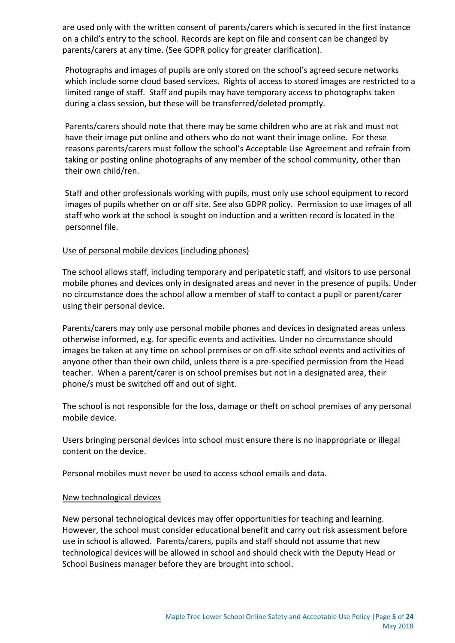are used only with the written consent of parents/carers which is secured in the first instance on a child's entry to the school. Records are kept on file and consent can be changed by parents/carers at any time. (See GDPR policy for greater clarification).

Photographs and images of pupils are only stored on the school's agreed secure networks which include some cloud based services. Rights of access to stored images are restricted to a limited range of staff. Staff and pupils may have temporary access to photographs taken during a class session, but these will be transferred/deleted promptly.

Parents/carers should note that there may be some children who are at risk and must not have their image put online and others who do not want their image online. For these reasons parents/carers must follow the school's Acceptable Use Agreement and refrain from taking or posting online photographs of any member of the school community, other than their own child/ren.

Staff and other professionals working with pupils, must only use school equipment to record images of pupils whether on or off site. See also GDPR policy. Permission to use images of all staff who work at the school is sought on induction and a written record is located in the personnel file.

## <span id="page-4-0"></span>Use of personal mobile devices (including phones)

The school allows staff, including temporary and peripatetic staff, and visitors to use personal mobile phones and devices only in designated areas and never in the presence of pupils. Under no circumstance does the school allow a member of staff to contact a pupil or parent/carer using their personal device.

Parents/carers may only use personal mobile phones and devices in designated areas unless otherwise informed, e.g. for specific events and activities. Under no circumstance should images be taken at any time on school premises or on off-site school events and activities of anyone other than their own child, unless there is a pre-specified permission from the Head teacher. When a parent/carer is on school premises but not in a designated area, their phone/s must be switched off and out of sight.

The school is not responsible for the loss, damage or theft on school premises of any personal mobile device.

Users bringing personal devices into school must ensure there is no inappropriate or illegal content on the device.

Personal mobiles must never be used to access school emails and data.

## <span id="page-4-1"></span>New technological devices

New personal technological devices may offer opportunities for teaching and learning. However, the school must consider educational benefit and carry out risk assessment before use in school is allowed. Parents/carers, pupils and staff should not assume that new technological devices will be allowed in school and should check with the Deputy Head or School Business manager before they are brought into school.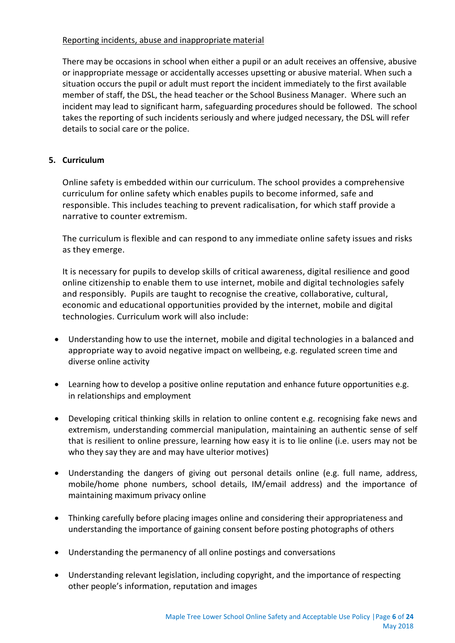## <span id="page-5-0"></span>Reporting incidents, abuse and inappropriate material

There may be occasions in school when either a pupil or an adult receives an offensive, abusive or inappropriate message or accidentally accesses upsetting or abusive material. When such a situation occurs the pupil or adult must report the incident immediately to the first available member of staff, the DSL, the head teacher or the School Business Manager. Where such an incident may lead to significant harm, safeguarding procedures should be followed. The school takes the reporting of such incidents seriously and where judged necessary, the DSL will refer details to social care or the police.

## <span id="page-5-1"></span>**5. Curriculum**

Online safety is embedded within our curriculum. The school provides a comprehensive curriculum for online safety which enables pupils to become informed, safe and responsible. This includes teaching to prevent radicalisation, for which staff provide a narrative to counter extremism.

The curriculum is flexible and can respond to any immediate online safety issues and risks as they emerge.

It is necessary for pupils to develop skills of critical awareness, digital resilience and good online citizenship to enable them to use internet, mobile and digital technologies safely and responsibly. Pupils are taught to recognise the creative, collaborative, cultural, economic and educational opportunities provided by the internet, mobile and digital technologies. Curriculum work will also include:

- Understanding how to use the internet, mobile and digital technologies in a balanced and appropriate way to avoid negative impact on wellbeing, e.g. regulated screen time and diverse online activity
- Learning how to develop a positive online reputation and enhance future opportunities e.g. in relationships and employment
- Developing critical thinking skills in relation to online content e.g. recognising fake news and extremism, understanding commercial manipulation, maintaining an authentic sense of self that is resilient to online pressure, learning how easy it is to lie online (i.e. users may not be who they say they are and may have ulterior motives)
- Understanding the dangers of giving out personal details online (e.g. full name, address, mobile/home phone numbers, school details, IM/email address) and the importance of maintaining maximum privacy online
- Thinking carefully before placing images online and considering their appropriateness and understanding the importance of gaining consent before posting photographs of others
- Understanding the permanency of all online postings and conversations
- Understanding relevant legislation, including copyright, and the importance of respecting other people's information, reputation and images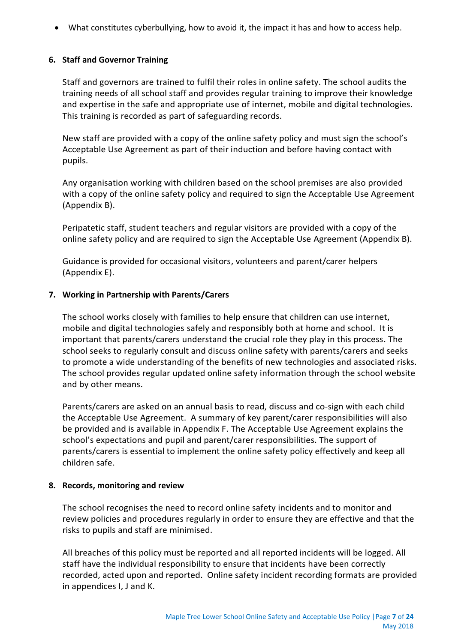What constitutes cyberbullying, how to avoid it, the impact it has and how to access help.

## <span id="page-6-0"></span>**6. Staff and Governor Training**

Staff and governors are trained to fulfil their roles in online safety. The school audits the training needs of all school staff and provides regular training to improve their knowledge and expertise in the safe and appropriate use of internet, mobile and digital technologies. This training is recorded as part of safeguarding records.

New staff are provided with a copy of the online safety policy and must sign the school's Acceptable Use Agreement as part of their induction and before having contact with pupils.

Any organisation working with children based on the school premises are also provided with a copy of the online safety policy and required to sign the Acceptable Use Agreement (Appendix B).

Peripatetic staff, student teachers and regular visitors are provided with a copy of the online safety policy and are required to sign the Acceptable Use Agreement (Appendix B).

Guidance is provided for occasional visitors, volunteers and parent/carer helpers (Appendix E).

## <span id="page-6-1"></span>**7. Working in Partnership with Parents/Carers**

The school works closely with families to help ensure that children can use internet, mobile and digital technologies safely and responsibly both at home and school. It is important that parents/carers understand the crucial role they play in this process. The school seeks to regularly consult and discuss online safety with parents/carers and seeks to promote a wide understanding of the benefits of new technologies and associated risks. The school provides regular updated online safety information through the school website and by other means.

Parents/carers are asked on an annual basis to read, discuss and co-sign with each child the Acceptable Use Agreement. A summary of key parent/carer responsibilities will also be provided and is available in Appendix F. The Acceptable Use Agreement explains the school's expectations and pupil and parent/carer responsibilities. The support of parents/carers is essential to implement the online safety policy effectively and keep all children safe.

## <span id="page-6-2"></span>**8. Records, monitoring and review**

The school recognises the need to record online safety incidents and to monitor and review policies and procedures regularly in order to ensure they are effective and that the risks to pupils and staff are minimised.

All breaches of this policy must be reported and all reported incidents will be logged. All staff have the individual responsibility to ensure that incidents have been correctly recorded, acted upon and reported. Online safety incident recording formats are provided in appendices I, J and K.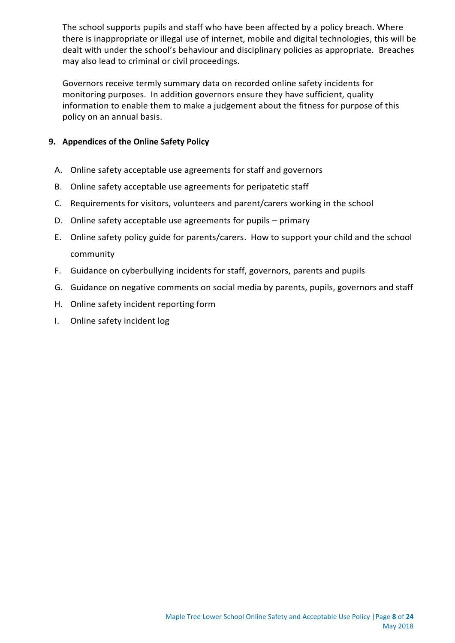The school supports pupils and staff who have been affected by a policy breach. Where there is inappropriate or illegal use of internet, mobile and digital technologies, this will be dealt with under the school's behaviour and disciplinary policies as appropriate. Breaches may also lead to criminal or civil proceedings.

Governors receive termly summary data on recorded online safety incidents for monitoring purposes. In addition governors ensure they have sufficient, quality information to enable them to make a judgement about the fitness for purpose of this policy on an annual basis.

## <span id="page-7-0"></span>**9. Appendices of the Online Safety Policy**

- A. Online safety acceptable use agreements for staff and governors
- B. Online safety acceptable use agreements for peripatetic staff
- C. Requirements for visitors, volunteers and parent/carers working in the school
- D. Online safety acceptable use agreements for pupils primary
- E. Online safety policy guide for parents/carers. How to support your child and the school community
- F. Guidance on cyberbullying incidents for staff, governors, parents and pupils
- G. Guidance on negative comments on social media by parents, pupils, governors and staff
- H. Online safety incident reporting form
- I. Online safety incident log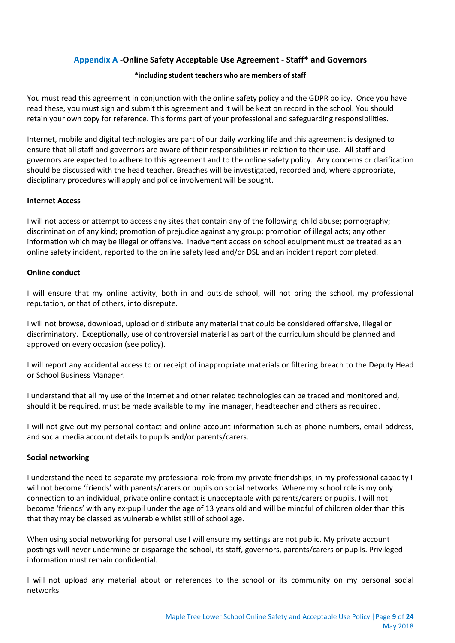## **Appendix A -Online Safety Acceptable Use Agreement - Staff\* and Governors**

#### **\*including student teachers who are members of staff**

<span id="page-8-0"></span>You must read this agreement in conjunction with the online safety policy and the GDPR policy. Once you have read these, you must sign and submit this agreement and it will be kept on record in the school. You should retain your own copy for reference. This forms part of your professional and safeguarding responsibilities.

Internet, mobile and digital technologies are part of our daily working life and this agreement is designed to ensure that all staff and governors are aware of their responsibilities in relation to their use. All staff and governors are expected to adhere to this agreement and to the online safety policy. Any concerns or clarification should be discussed with the head teacher. Breaches will be investigated, recorded and, where appropriate, disciplinary procedures will apply and police involvement will be sought.

#### **Internet Access**

I will not access or attempt to access any sites that contain any of the following: child abuse; pornography; discrimination of any kind; promotion of prejudice against any group; promotion of illegal acts; any other information which may be illegal or offensive. Inadvertent access on school equipment must be treated as an online safety incident, reported to the online safety lead and/or DSL and an incident report completed.

#### **Online conduct**

I will ensure that my online activity, both in and outside school, will not bring the school, my professional reputation, or that of others, into disrepute.

I will not browse, download, upload or distribute any material that could be considered offensive, illegal or discriminatory. Exceptionally, use of controversial material as part of the curriculum should be planned and approved on every occasion (see policy).

I will report any accidental access to or receipt of inappropriate materials or filtering breach to the Deputy Head or School Business Manager.

I understand that all my use of the internet and other related technologies can be traced and monitored and, should it be required, must be made available to my line manager, headteacher and others as required.

I will not give out my personal contact and online account information such as phone numbers, email address, and social media account details to pupils and/or parents/carers.

#### **Social networking**

I understand the need to separate my professional role from my private friendships; in my professional capacity I will not become 'friends' with parents/carers or pupils on social networks. Where my school role is my only connection to an individual, private online contact is unacceptable with parents/carers or pupils. I will not become 'friends' with any ex-pupil under the age of 13 years old and will be mindful of children older than this that they may be classed as vulnerable whilst still of school age.

When using social networking for personal use I will ensure my settings are not public. My private account postings will never undermine or disparage the school, its staff, governors, parents/carers or pupils. Privileged information must remain confidential.

I will not upload any material about or references to the school or its community on my personal social networks.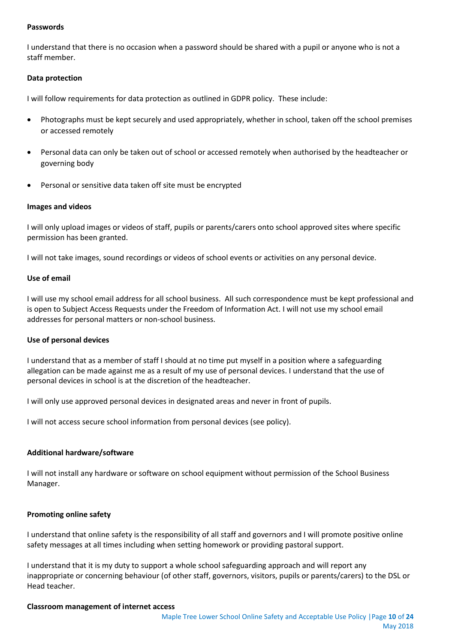#### **Passwords**

I understand that there is no occasion when a password should be shared with a pupil or anyone who is not a staff member.

#### **Data protection**

I will follow requirements for data protection as outlined in GDPR policy. These include:

- Photographs must be kept securely and used appropriately, whether in school, taken off the school premises or accessed remotely
- Personal data can only be taken out of school or accessed remotely when authorised by the headteacher or governing body
- Personal or sensitive data taken off site must be encrypted

#### **Images and videos**

I will only upload images or videos of staff, pupils or parents/carers onto school approved sites where specific permission has been granted.

I will not take images, sound recordings or videos of school events or activities on any personal device.

#### **Use of email**

I will use my school email address for all school business. All such correspondence must be kept professional and is open to Subject Access Requests under the Freedom of Information Act. I will not use my school email addresses for personal matters or non-school business.

#### **Use of personal devices**

I understand that as a member of staff I should at no time put myself in a position where a safeguarding allegation can be made against me as a result of my use of personal devices. I understand that the use of personal devices in school is at the discretion of the headteacher.

I will only use approved personal devices in designated areas and never in front of pupils.

I will not access secure school information from personal devices (see policy).

#### **Additional hardware/software**

I will not install any hardware or software on school equipment without permission of the School Business Manager.

#### **Promoting online safety**

I understand that online safety is the responsibility of all staff and governors and I will promote positive online safety messages at all times including when setting homework or providing pastoral support.

I understand that it is my duty to support a whole school safeguarding approach and will report any inappropriate or concerning behaviour (of other staff, governors, visitors, pupils or parents/carers) to the DSL or Head teacher.

#### **Classroom management of internet access**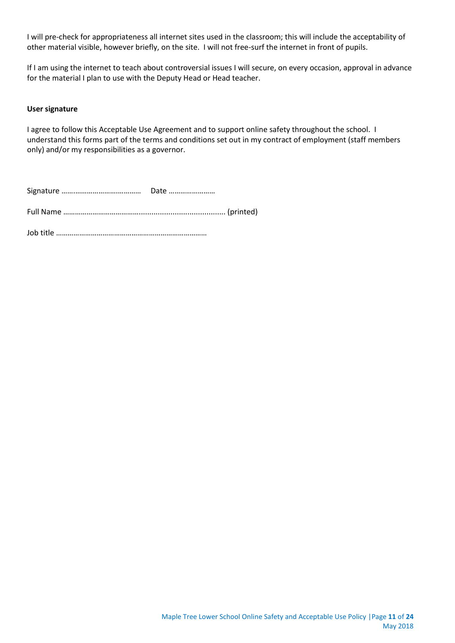I will pre-check for appropriateness all internet sites used in the classroom; this will include the acceptability of other material visible, however briefly, on the site. I will not free-surf the internet in front of pupils.

If I am using the internet to teach about controversial issues I will secure, on every occasion, approval in advance for the material I plan to use with the Deputy Head or Head teacher.

#### **User signature**

I agree to follow this Acceptable Use Agreement and to support online safety throughout the school. I understand this forms part of the terms and conditions set out in my contract of employment (staff members only) and/or my responsibilities as a governor.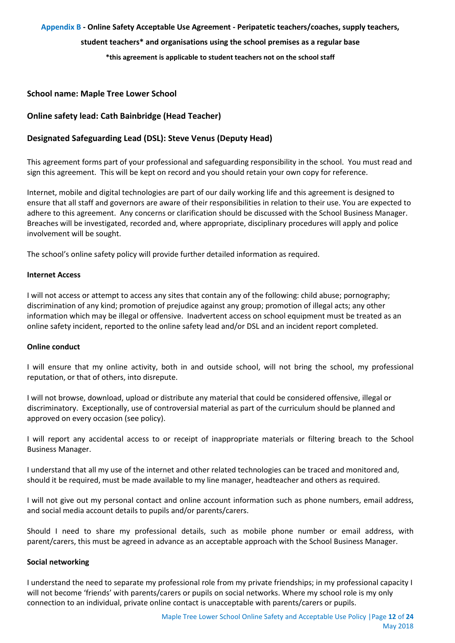#### <span id="page-11-0"></span>**Appendix B - Online Safety Acceptable Use Agreement - Peripatetic teachers/coaches, supply teachers,**

#### **student teachers\* and organisations using the school premises as a regular base**

**\*this agreement is applicable to student teachers not on the school staff**

#### **School name: Maple Tree Lower School**

## **Online safety lead: Cath Bainbridge (Head Teacher)**

## **Designated Safeguarding Lead (DSL): Steve Venus (Deputy Head)**

This agreement forms part of your professional and safeguarding responsibility in the school. You must read and sign this agreement. This will be kept on record and you should retain your own copy for reference.

Internet, mobile and digital technologies are part of our daily working life and this agreement is designed to ensure that all staff and governors are aware of their responsibilities in relation to their use. You are expected to adhere to this agreement. Any concerns or clarification should be discussed with the School Business Manager. Breaches will be investigated, recorded and, where appropriate, disciplinary procedures will apply and police involvement will be sought.

The school's online safety policy will provide further detailed information as required.

#### **Internet Access**

I will not access or attempt to access any sites that contain any of the following: child abuse; pornography; discrimination of any kind; promotion of prejudice against any group; promotion of illegal acts; any other information which may be illegal or offensive. Inadvertent access on school equipment must be treated as an online safety incident, reported to the online safety lead and/or DSL and an incident report completed.

#### **Online conduct**

I will ensure that my online activity, both in and outside school, will not bring the school, my professional reputation, or that of others, into disrepute.

I will not browse, download, upload or distribute any material that could be considered offensive, illegal or discriminatory. Exceptionally, use of controversial material as part of the curriculum should be planned and approved on every occasion (see policy).

I will report any accidental access to or receipt of inappropriate materials or filtering breach to the School Business Manager.

I understand that all my use of the internet and other related technologies can be traced and monitored and, should it be required, must be made available to my line manager, headteacher and others as required.

I will not give out my personal contact and online account information such as phone numbers, email address, and social media account details to pupils and/or parents/carers.

Should I need to share my professional details, such as mobile phone number or email address, with parent/carers, this must be agreed in advance as an acceptable approach with the School Business Manager.

#### **Social networking**

I understand the need to separate my professional role from my private friendships; in my professional capacity I will not become 'friends' with parents/carers or pupils on social networks. Where my school role is my only connection to an individual, private online contact is unacceptable with parents/carers or pupils.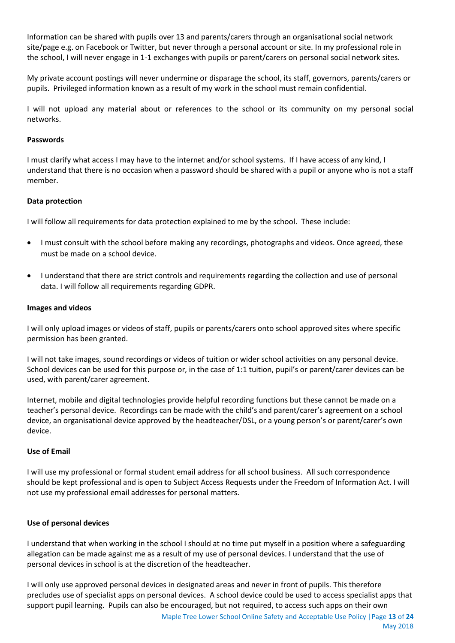Information can be shared with pupils over 13 and parents/carers through an organisational social network site/page e.g. on Facebook or Twitter, but never through a personal account or site. In my professional role in the school, I will never engage in 1-1 exchanges with pupils or parent/carers on personal social network sites.

My private account postings will never undermine or disparage the school, its staff, governors, parents/carers or pupils. Privileged information known as a result of my work in the school must remain confidential.

I will not upload any material about or references to the school or its community on my personal social networks.

#### **Passwords**

I must clarify what access I may have to the internet and/or school systems. If I have access of any kind, I understand that there is no occasion when a password should be shared with a pupil or anyone who is not a staff member.

#### **Data protection**

I will follow all requirements for data protection explained to me by the school. These include:

- I must consult with the school before making any recordings, photographs and videos. Once agreed, these must be made on a school device.
- I understand that there are strict controls and requirements regarding the collection and use of personal data. I will follow all requirements regarding GDPR.

#### **Images and videos**

I will only upload images or videos of staff, pupils or parents/carers onto school approved sites where specific permission has been granted.

I will not take images, sound recordings or videos of tuition or wider school activities on any personal device. School devices can be used for this purpose or, in the case of 1:1 tuition, pupil's or parent/carer devices can be used, with parent/carer agreement.

Internet, mobile and digital technologies provide helpful recording functions but these cannot be made on a teacher's personal device. Recordings can be made with the child's and parent/carer's agreement on a school device, an organisational device approved by the headteacher/DSL, or a young person's or parent/carer's own device.

### **Use of Email**

I will use my professional or formal student email address for all school business. All such correspondence should be kept professional and is open to Subject Access Requests under the Freedom of Information Act. I will not use my professional email addresses for personal matters.

#### **Use of personal devices**

I understand that when working in the school I should at no time put myself in a position where a safeguarding allegation can be made against me as a result of my use of personal devices. I understand that the use of personal devices in school is at the discretion of the headteacher.

I will only use approved personal devices in designated areas and never in front of pupils. This therefore precludes use of specialist apps on personal devices. A school device could be used to access specialist apps that support pupil learning. Pupils can also be encouraged, but not required, to access such apps on their own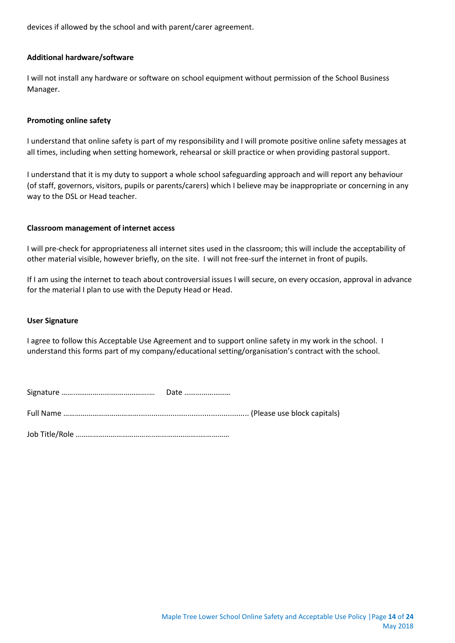devices if allowed by the school and with parent/carer agreement.

#### **Additional hardware/software**

I will not install any hardware or software on school equipment without permission of the School Business Manager.

#### **Promoting online safety**

I understand that online safety is part of my responsibility and I will promote positive online safety messages at all times, including when setting homework, rehearsal or skill practice or when providing pastoral support.

I understand that it is my duty to support a whole school safeguarding approach and will report any behaviour (of staff, governors, visitors, pupils or parents/carers) which I believe may be inappropriate or concerning in any way to the DSL or Head teacher.

#### **Classroom management of internet access**

I will pre-check for appropriateness all internet sites used in the classroom; this will include the acceptability of other material visible, however briefly, on the site. I will not free-surf the internet in front of pupils.

If I am using the internet to teach about controversial issues I will secure, on every occasion, approval in advance for the material I plan to use with the Deputy Head or Head.

#### **User Signature**

I agree to follow this Acceptable Use Agreement and to support online safety in my work in the school. I understand this forms part of my company/educational setting/organisation's contract with the school.

| . |  |
|---|--|

Job Title/Role …………………………………..…………………..……………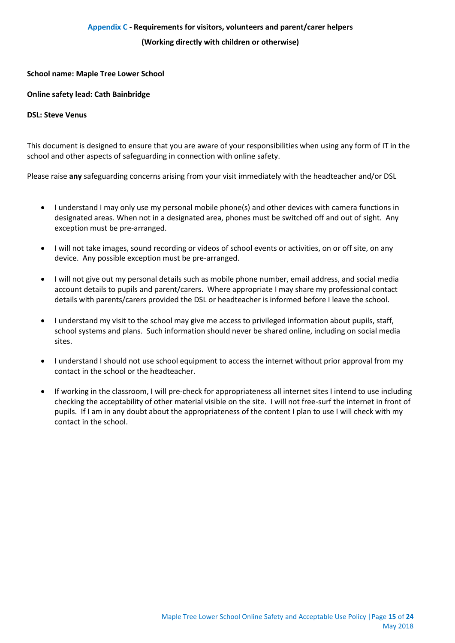#### **Appendix C - Requirements for visitors, volunteers and parent/carer helpers**

#### **(Working directly with children or otherwise)**

#### <span id="page-14-0"></span>**School name: Maple Tree Lower School**

#### **Online safety lead: Cath Bainbridge**

#### **DSL: Steve Venus**

This document is designed to ensure that you are aware of your responsibilities when using any form of IT in the school and other aspects of safeguarding in connection with online safety.

Please raise **any** safeguarding concerns arising from your visit immediately with the headteacher and/or DSL

- I understand I may only use my personal mobile phone(s) and other devices with camera functions in designated areas. When not in a designated area, phones must be switched off and out of sight. Any exception must be pre-arranged.
- I will not take images, sound recording or videos of school events or activities, on or off site, on any device. Any possible exception must be pre-arranged.
- I will not give out my personal details such as mobile phone number, email address, and social media account details to pupils and parent/carers. Where appropriate I may share my professional contact details with parents/carers provided the DSL or headteacher is informed before I leave the school.
- I understand my visit to the school may give me access to privileged information about pupils, staff, school systems and plans. Such information should never be shared online, including on social media sites.
- I understand I should not use school equipment to access the internet without prior approval from my contact in the school or the headteacher.
- If working in the classroom, I will pre-check for appropriateness all internet sites I intend to use including checking the acceptability of other material visible on the site. I will not free-surf the internet in front of pupils. If I am in any doubt about the appropriateness of the content I plan to use I will check with my contact in the school.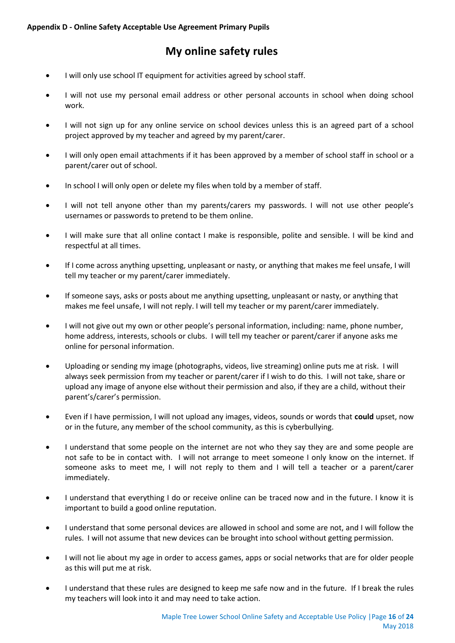# **My online safety rules**

- <span id="page-15-0"></span>I will only use school IT equipment for activities agreed by school staff.
- I will not use my personal email address or other personal accounts in school when doing school work.
- I will not sign up for any online service on school devices unless this is an agreed part of a school project approved by my teacher and agreed by my parent/carer.
- I will only open email attachments if it has been approved by a member of school staff in school or a parent/carer out of school.
- In school I will only open or delete my files when told by a member of staff.
- I will not tell anyone other than my parents/carers my passwords. I will not use other people's usernames or passwords to pretend to be them online.
- I will make sure that all online contact I make is responsible, polite and sensible. I will be kind and respectful at all times.
- If I come across anything upsetting, unpleasant or nasty, or anything that makes me feel unsafe, I will tell my teacher or my parent/carer immediately.
- If someone says, asks or posts about me anything upsetting, unpleasant or nasty, or anything that makes me feel unsafe, I will not reply. I will tell my teacher or my parent/carer immediately.
- I will not give out my own or other people's personal information, including: name, phone number, home address, interests, schools or clubs. I will tell my teacher or parent/carer if anyone asks me online for personal information.
- Uploading or sending my image (photographs, videos, live streaming) online puts me at risk. I will always seek permission from my teacher or parent/carer if I wish to do this. I will not take, share or upload any image of anyone else without their permission and also, if they are a child, without their parent's/carer's permission.
- Even if I have permission, I will not upload any images, videos, sounds or words that **could** upset, now or in the future, any member of the school community, as this is cyberbullying.
- I understand that some people on the internet are not who they say they are and some people are not safe to be in contact with. I will not arrange to meet someone I only know on the internet. If someone asks to meet me, I will not reply to them and I will tell a teacher or a parent/carer immediately.
- I understand that everything I do or receive online can be traced now and in the future. I know it is important to build a good online reputation.
- I understand that some personal devices are allowed in school and some are not, and I will follow the rules. I will not assume that new devices can be brought into school without getting permission.
- I will not lie about my age in order to access games, apps or social networks that are for older people as this will put me at risk.
- I understand that these rules are designed to keep me safe now and in the future. If I break the rules my teachers will look into it and may need to take action.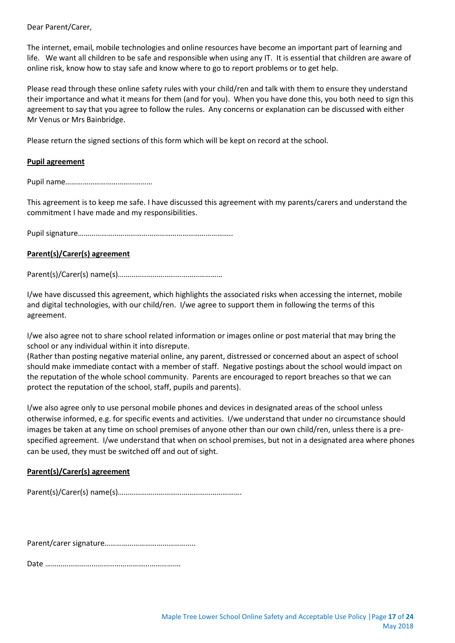Dear Parent/Carer,

The internet, email, mobile technologies and online resources have become an important part of learning and life. We want all children to be safe and responsible when using any IT. It is essential that children are aware of online risk, know how to stay safe and know where to go to report problems or to get help.

Please read through these online safety rules with your child/ren and talk with them to ensure they understand their importance and what it means for them (and for you). When you have done this, you both need to sign this agreement to say that you agree to follow the rules. Any concerns or explanation can be discussed with either Mr Venus or Mrs Bainbridge.

Please return the signed sections of this form which will be kept on record at the school.

#### **Pupil agreement**

Pupil name………………………………………

This agreement is to keep me safe. I have discussed this agreement with my parents/carers and understand the commitment I have made and my responsibilities.

Pupil signature……………………………………………………………………..

#### **Parent(s)/Carer(s) agreement**

Parent(s)/Carer(s) name(s)………………………………………………

I/we have discussed this agreement, which highlights the associated risks when accessing the internet, mobile and digital technologies, with our child/ren. I/we agree to support them in following the terms of this agreement.

I/we also agree not to share school related information or images online or post material that may bring the school or any individual within it into disrepute.

(Rather than posting negative material online, any parent, distressed or concerned about an aspect of school should make immediate contact with a member of staff. Negative postings about the school would impact on the reputation of the whole school community. Parents are encouraged to report breaches so that we can protect the reputation of the school, staff, pupils and parents).

I/we also agree only to use personal mobile phones and devices in designated areas of the school unless otherwise informed, e.g. for specific events and activities. I/we understand that under no circumstance should images be taken at any time on school premises of anyone other than our own child/ren, unless there is a prespecified agreement. I/we understand that when on school premises, but not in a designated area where phones can be used, they must be switched off and out of sight.

## **Parent(s)/Carer(s) agreement**

Parent(s)/Carer(s) name(s)……………………………………………………….

Parent/carer signature………………………………………..

Date ………………………………………………………….…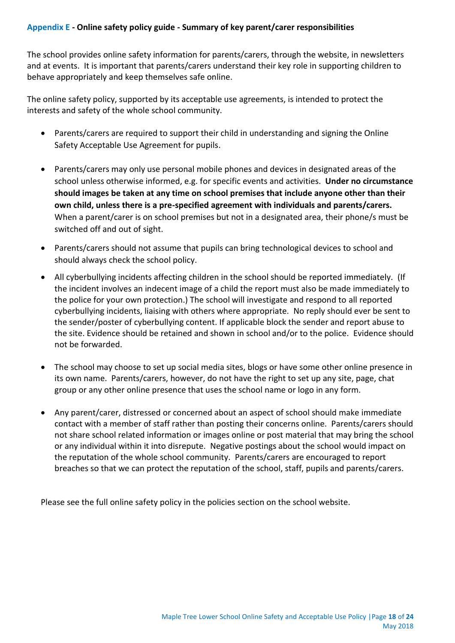<span id="page-17-0"></span>The school provides online safety information for parents/carers, through the website, in newsletters and at events. It is important that parents/carers understand their key role in supporting children to behave appropriately and keep themselves safe online.

The online safety policy, supported by its acceptable use agreements, is intended to protect the interests and safety of the whole school community.

- Parents/carers are required to support their child in understanding and signing the Online Safety Acceptable Use Agreement for pupils.
- Parents/carers may only use personal mobile phones and devices in designated areas of the school unless otherwise informed, e.g. for specific events and activities. **Under no circumstance should images be taken at any time on school premises that include anyone other than their own child, unless there is a pre-specified agreement with individuals and parents/carers.**  When a parent/carer is on school premises but not in a designated area, their phone/s must be switched off and out of sight.
- Parents/carers should not assume that pupils can bring technological devices to school and should always check the school policy.
- All cyberbullying incidents affecting children in the school should be reported immediately. (If the incident involves an indecent image of a child the report must also be made immediately to the police for your own protection.) The school will investigate and respond to all reported cyberbullying incidents, liaising with others where appropriate. No reply should ever be sent to the sender/poster of cyberbullying content. If applicable block the sender and report abuse to the site. Evidence should be retained and shown in school and/or to the police. Evidence should not be forwarded.
- The school may choose to set up social media sites, blogs or have some other online presence in its own name. Parents/carers, however, do not have the right to set up any site, page, chat group or any other online presence that uses the school name or logo in any form.
- Any parent/carer, distressed or concerned about an aspect of school should make immediate contact with a member of staff rather than posting their concerns online. Parents/carers should not share school related information or images online or post material that may bring the school or any individual within it into disrepute. Negative postings about the school would impact on the reputation of the whole school community. Parents/carers are encouraged to report breaches so that we can protect the reputation of the school, staff, pupils and parents/carers.

Please see the full online safety policy in the policies section on the school website.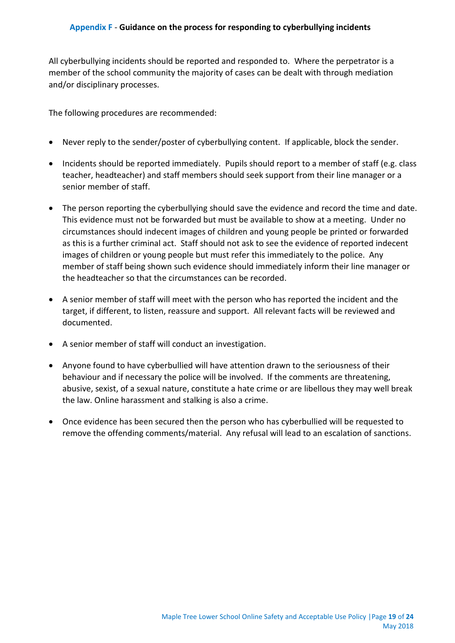<span id="page-18-0"></span>All cyberbullying incidents should be reported and responded to. Where the perpetrator is a member of the school community the majority of cases can be dealt with through mediation and/or disciplinary processes.

The following procedures are recommended:

- Never reply to the sender/poster of cyberbullying content. If applicable, block the sender.
- Incidents should be reported immediately. Pupils should report to a member of staff (e.g. class teacher, headteacher) and staff members should seek support from their line manager or a senior member of staff.
- The person reporting the cyberbullying should save the evidence and record the time and date. This evidence must not be forwarded but must be available to show at a meeting. Under no circumstances should indecent images of children and young people be printed or forwarded as this is a further criminal act. Staff should not ask to see the evidence of reported indecent images of children or young people but must refer this immediately to the police. Any member of staff being shown such evidence should immediately inform their line manager or the headteacher so that the circumstances can be recorded.
- A senior member of staff will meet with the person who has reported the incident and the target, if different, to listen, reassure and support. All relevant facts will be reviewed and documented.
- A senior member of staff will conduct an investigation.
- Anyone found to have cyberbullied will have attention drawn to the seriousness of their behaviour and if necessary the police will be involved. If the comments are threatening, abusive, sexist, of a sexual nature, constitute a hate crime or are libellous they may well break the law. Online harassment and stalking is also a crime.
- Once evidence has been secured then the person who has cyberbullied will be requested to remove the offending comments/material. Any refusal will lead to an escalation of sanctions.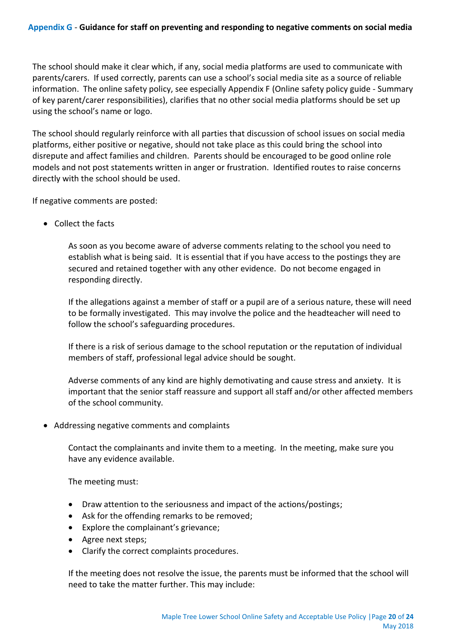<span id="page-19-0"></span>The school should make it clear which, if any, social media platforms are used to communicate with parents/carers. If used correctly, parents can use a school's social media site as a source of reliable information. The online safety policy, see especially Appendix F (Online safety policy guide - Summary of key parent/carer responsibilities), clarifies that no other social media platforms should be set up using the school's name or logo.

The school should regularly reinforce with all parties that discussion of school issues on social media platforms, either positive or negative, should not take place as this could bring the school into disrepute and affect families and children. Parents should be encouraged to be good online role models and not post statements written in anger or frustration. Identified routes to raise concerns directly with the school should be used.

If negative comments are posted:

• Collect the facts

As soon as you become aware of adverse comments relating to the school you need to establish what is being said. It is essential that if you have access to the postings they are secured and retained together with any other evidence. Do not become engaged in responding directly.

If the allegations against a member of staff or a pupil are of a serious nature, these will need to be formally investigated. This may involve the police and the headteacher will need to follow the school's safeguarding procedures.

If there is a risk of serious damage to the school reputation or the reputation of individual members of staff, professional legal advice should be sought.

Adverse comments of any kind are highly demotivating and cause stress and anxiety. It is important that the senior staff reassure and support all staff and/or other affected members of the school community.

Addressing negative comments and complaints

Contact the complainants and invite them to a meeting. In the meeting, make sure you have any evidence available.

The meeting must:

- Draw attention to the seriousness and impact of the actions/postings;
- Ask for the offending remarks to be removed;
- Explore the complainant's grievance;
- Agree next steps;
- Clarify the correct complaints procedures.

If the meeting does not resolve the issue, the parents must be informed that the school will need to take the matter further. This may include: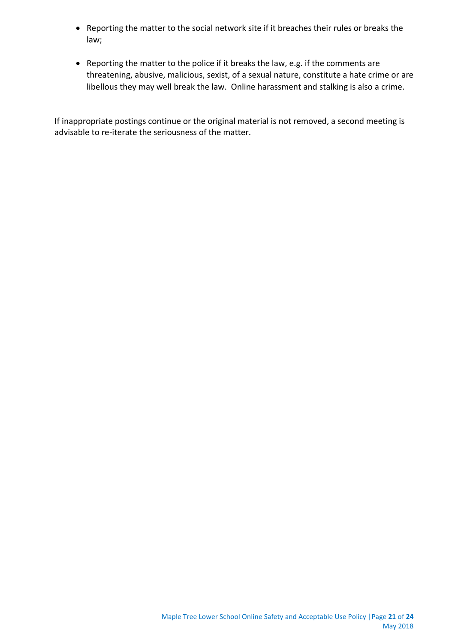- Reporting the matter to the social network site if it breaches their rules or breaks the law;
- Reporting the matter to the police if it breaks the law, e.g. if the comments are threatening, abusive, malicious, sexist, of a sexual nature, constitute a hate crime or are libellous they may well break the law. Online harassment and stalking is also a crime.

If inappropriate postings continue or the original material is not removed, a second meeting is advisable to re-iterate the seriousness of the matter.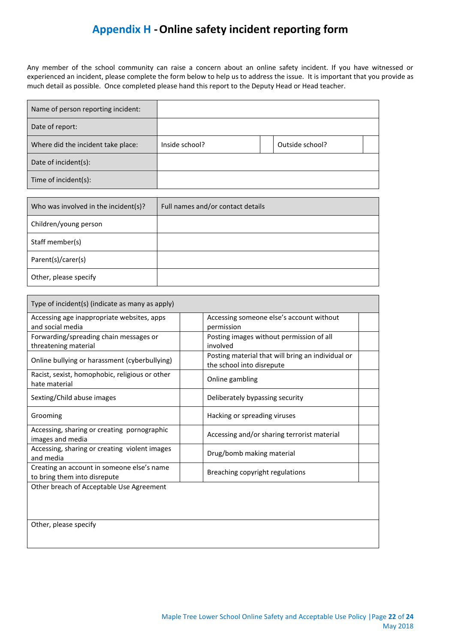## **Appendix H -Online safety incident reporting form**

<span id="page-21-0"></span>Any member of the school community can raise a concern about an online safety incident. If you have witnessed or experienced an incident, please complete the form below to help us to address the issue. It is important that you provide as much detail as possible. Once completed please hand this report to the Deputy Head or Head teacher.

| Name of person reporting incident: |                |                 |
|------------------------------------|----------------|-----------------|
| Date of report:                    |                |                 |
| Where did the incident take place: | Inside school? | Outside school? |
| Date of incident(s):               |                |                 |
| Time of incident(s):               |                |                 |

| Who was involved in the incident(s)? | Full names and/or contact details |
|--------------------------------------|-----------------------------------|
| Children/young person                |                                   |
| Staff member(s)                      |                                   |
| Parent(s)/carer(s)                   |                                   |
| Other, please specify                |                                   |

| Type of incident(s) (indicate as many as apply)                            |                                                                                |
|----------------------------------------------------------------------------|--------------------------------------------------------------------------------|
| Accessing age inappropriate websites, apps                                 | Accessing someone else's account without                                       |
| and social media                                                           | permission                                                                     |
| Forwarding/spreading chain messages or                                     | Posting images without permission of all                                       |
| threatening material                                                       | involved                                                                       |
| Online bullying or harassment (cyberbullying)                              | Posting material that will bring an individual or<br>the school into disrepute |
| Racist, sexist, homophobic, religious or other<br>hate material            | Online gambling                                                                |
| Sexting/Child abuse images                                                 | Deliberately bypassing security                                                |
| Grooming                                                                   | Hacking or spreading viruses                                                   |
| Accessing, sharing or creating pornographic<br>images and media            | Accessing and/or sharing terrorist material                                    |
| Accessing, sharing or creating violent images<br>and media                 | Drug/bomb making material                                                      |
| Creating an account in someone else's name<br>to bring them into disrepute | Breaching copyright regulations                                                |
| Other breach of Acceptable Use Agreement                                   |                                                                                |
|                                                                            |                                                                                |
| Other, please specify                                                      |                                                                                |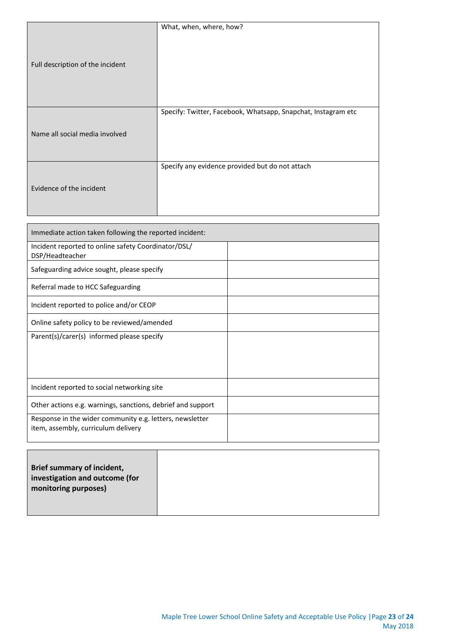|                                  | What, when, where, how?                                       |
|----------------------------------|---------------------------------------------------------------|
| Full description of the incident |                                                               |
|                                  | Specify: Twitter, Facebook, Whatsapp, Snapchat, Instagram etc |
| Name all social media involved   |                                                               |
|                                  | Specify any evidence provided but do not attach               |
| Evidence of the incident         |                                                               |

| Immediate action taken following the reported incident:                                         |  |
|-------------------------------------------------------------------------------------------------|--|
| Incident reported to online safety Coordinator/DSL/<br>DSP/Headteacher                          |  |
| Safeguarding advice sought, please specify                                                      |  |
| Referral made to HCC Safeguarding                                                               |  |
| Incident reported to police and/or CEOP                                                         |  |
| Online safety policy to be reviewed/amended                                                     |  |
| Parent(s)/carer(s) informed please specify                                                      |  |
| Incident reported to social networking site                                                     |  |
| Other actions e.g. warnings, sanctions, debrief and support                                     |  |
| Response in the wider community e.g. letters, newsletter<br>item, assembly, curriculum delivery |  |

| <b>Brief summary of incident,</b><br>investigation and outcome (for<br>monitoring purposes) |  |  |
|---------------------------------------------------------------------------------------------|--|--|
|                                                                                             |  |  |